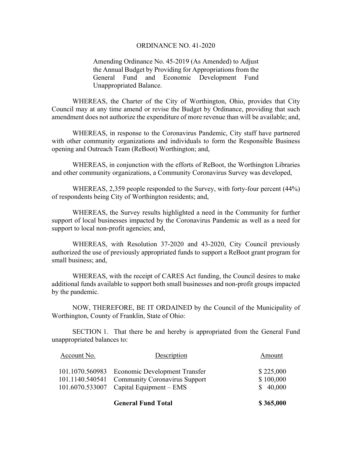## ORDINANCE NO. 41-2020

Amending Ordinance No. 45-2019 (As Amended) to Adjust the Annual Budget by Providing for Appropriations from the General Fund and Economic Development Fund Unappropriated Balance.

 WHEREAS, the Charter of the City of Worthington, Ohio, provides that City Council may at any time amend or revise the Budget by Ordinance, providing that such amendment does not authorize the expenditure of more revenue than will be available; and,

 WHEREAS, in response to the Coronavirus Pandemic, City staff have partnered with other community organizations and individuals to form the Responsible Business opening and Outreach Team (ReBoot) Worthington; and,

 WHEREAS, in conjunction with the efforts of ReBoot, the Worthington Libraries and other community organizations, a Community Coronavirus Survey was developed,

 WHEREAS, 2,359 people responded to the Survey, with forty-four percent (44%) of respondents being City of Worthington residents; and,

 WHEREAS, the Survey results highlighted a need in the Community for further support of local businesses impacted by the Coronavirus Pandemic as well as a need for support to local non-profit agencies; and,

 WHEREAS, with Resolution 37-2020 and 43-2020, City Council previously authorized the use of previously appropriated funds to support a ReBoot grant program for small business; and,

 WHEREAS, with the receipt of CARES Act funding, the Council desires to make additional funds available to support both small businesses and non-profit groups impacted by the pandemic.

 NOW, THEREFORE, BE IT ORDAINED by the Council of the Municipality of Worthington, County of Franklin, State of Ohio:

 SECTION 1. That there be and hereby is appropriated from the General Fund unappropriated balances to:

| Account No. | Description                                                                                                                                 | Amount                             |
|-------------|---------------------------------------------------------------------------------------------------------------------------------------------|------------------------------------|
|             | 101.1070.560983 Economic Development Transfer<br>101.1140.540541 Community Coronavirus Support<br>$101.6070.533007$ Capital Equipment - EMS | \$225,000<br>\$100,000<br>\$40,000 |
|             | <b>General Fund Total</b>                                                                                                                   | \$365,000                          |